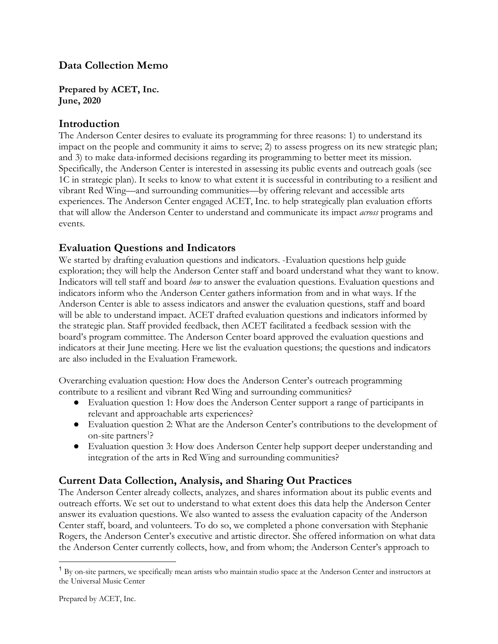# **Data Collection Memo**

**Prepared by ACET, Inc. June, 2020**

### **Introduction**

The Anderson Center desires to evaluate its programming for three reasons: 1) to understand its impact on the people and community it aims to serve; 2) to assess progress on its new strategic plan; and 3) to make data-informed decisions regarding its programming to better meet its mission. Specifically, the Anderson Center is interested in assessing its public events and outreach goals (see 1C in strategic plan). It seeks to know to what extent it is successful in contributing to a resilient and vibrant Red Wing––and surrounding communities––by offering relevant and accessible arts experiences. The Anderson Center engaged ACET, Inc. to help strategically plan evaluation efforts that will allow the Anderson Center to understand and communicate its impact *across* programs and events.

## **Evaluation Questions and Indicators**

We started by drafting evaluation questions and indicators. Evaluation questions help guide exploration; they will help the Anderson Center staff and board understand what they want to know. Indicators will tell staff and board *how* to answer the evaluation questions. Evaluation questions and indicators inform who the Anderson Center gathers information from and in what ways. If the Anderson Center is able to assess indicators and answer the evaluation questions, staff and board will be able to understand impact. ACET drafted evaluation questions and indicators informed by the strategic plan. Staff provided feedback, then ACET facilitated a feedback session with the board's program committee. The Anderson Center board approved the evaluation questions and indicators at their June meeting. Here we list the evaluation questions; the questions and indicators are also included in the Evaluation Framework.

Overarching evaluation question: How does the Anderson Center's outreach programming contribute to a resilient and vibrant Red Wing and surrounding communities?

- Evaluation question 1: How does the Anderson Center support a range of participants in relevant and approachable arts experiences?
- Evaluation question 2: What are the Anderson Center's contributions to the development of on-site partners<sup>1</sup>?
- Evaluation question 3: How does Anderson Center help support deeper understanding and integration of the arts in Red Wing and surrounding communities?

## **Current Data Collection, Analysis, and Sharing Out Practices**

The Anderson Center already collects, analyzes, and shares information about its public events and outreach efforts. We set out to understand to what extent does this data help the Anderson Center answer its evaluation questions. We also wanted to assess the evaluation capacity of the Anderson Center staff, board, and volunteers. To do so, we completed a phone conversation with Stephanie Rogers, the Anderson Center's executive and artistic director. She offered information on what data the Anderson Center currently collects, how, and from whom; the Anderson Center's approach to

<sup>&</sup>lt;sup>1</sup> By on-site partners, we specifically mean artists who maintain studio space at the Anderson Center and instructors at the Universal Music Center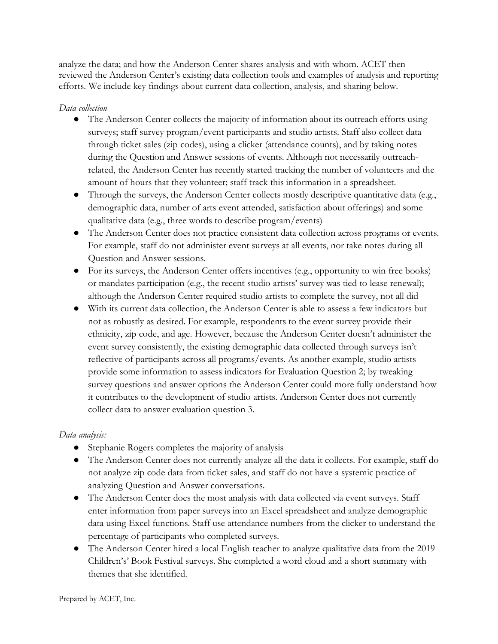analyze the data; and how the Anderson Center shares analysis and with whom. ACET then reviewed the Anderson Center's existing data collection tools and examples of analysis and reporting efforts. We include key findings about current data collection, analysis, and sharing below.

#### *Data collection*

- The Anderson Center collects the majority of information about its outreach efforts using surveys; staff survey program/event participants and studio artists. Staff also collect data through ticket sales (zip codes), using a clicker (attendance counts), and by taking notes during the Question and Answer sessions of events. Although not necessarily outreachrelated, the Anderson Center has recently started tracking the number of volunteers and the amount of hours that they volunteer; staff track this information in a spreadsheet.
- Through the surveys, the Anderson Center collects mostly descriptive quantitative data (e.g., demographic data, number of arts event attended, satisfaction about offerings) and some qualitative data (e.g., three words to describe program/events)
- The Anderson Center does not practice consistent data collection across programs or events. For example, staff do not administer event surveys at all events, nor take notes during all Question and Answer sessions.
- For its surveys, the Anderson Center offers incentives (e.g., opportunity to win free books) or mandates participation (e.g., the recent studio artists' survey was tied to lease renewal); although the Anderson Center required studio artists to complete the survey, not all did
- With its current data collection, the Anderson Center is able to assess a few indicators but not as robustly as desired. For example, respondents to the event survey provide their ethnicity, zip code, and age. However, because the Anderson Center doesn't administer the event survey consistently, the existing demographic data collected through surveys isn't reflective of participants across all programs/events. As another example, studio artists provide some information to assess indicators for Evaluation Question 2; by tweaking survey questions and answer options the Anderson Center could more fully understand how it contributes to the development of studio artists. Anderson Center does not currently collect data to answer evaluation question 3.

## *Data analysis:*

- Stephanie Rogers completes the majority of analysis
- The Anderson Center does not currently analyze all the data it collects. For example, staff do not analyze zip code data from ticket sales, and staff do not have a systemic practice of analyzing Question and Answer conversations.
- The Anderson Center does the most analysis with data collected via event surveys. Staff enter information from paper surveys into an Excel spreadsheet and analyze demographic data using Excel functions. Staff use attendance numbers from the clicker to understand the percentage of participants who completed surveys.
- The Anderson Center hired a local English teacher to analyze qualitative data from the 2019 Children's' Book Festival surveys. She completed a word cloud and a short summary with themes that she identified.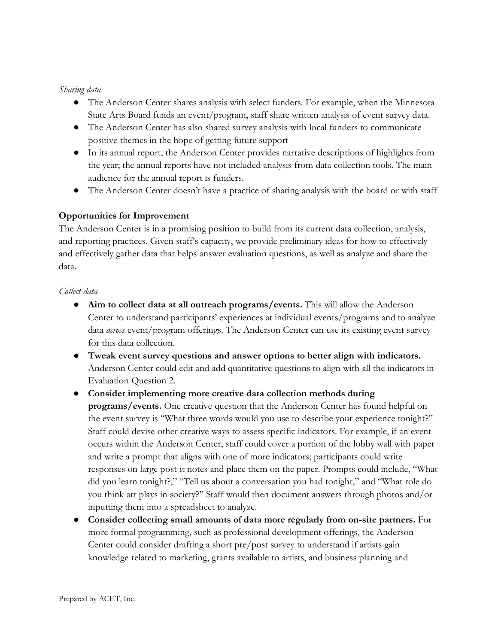#### *Sharing data*

- The Anderson Center shares analysis with select funders. For example, when the Minnesota State Arts Board funds an event/program, staff share written analysis of event survey data.
- The Anderson Center has also shared survey analysis with local funders to communicate positive themes in the hope of getting future support
- In its annual report, the Anderson Center provides narrative descriptions of highlights from the year; the annual reports have not included analysis from data collection tools. The main audience for the annual report is funders.
- The Anderson Center doesn't have a practice of sharing analysis with the board or with staff

## **Opportunities for Improvement**

The Anderson Center is in a promising position to build from its current data collection, analysis, and reporting practices. Given staff's capacity, we provide preliminary ideas for how to effectively and effectively gather data that helps answer evaluation questions, as well as analyze and share the data.

#### *Collect data*

- **Aim to collect data at all outreach programs/events.** This will allow the Anderson Center to understand participants' experiences at individual events/programs and to analyze data *across* event/program offerings. The Anderson Center can use its existing event survey for this data collection.
- **Tweak event survey questions and answer options to better align with indicators.** Anderson Center could edit and add quantitative questions to align with all the indicators in Evaluation Question 2.
- **Consider implementing more creative data collection methods during programs/events.** One creative question that the Anderson Center has found helpful on the event survey is "What three words would you use to describe your experience tonight?" Staff could devise other creative ways to assess specific indicators. For example, if an event occurs within the Anderson Center, staff could cover a portion of the lobby wall with paper and write a prompt that aligns with one of more indicators; participants could write responses on large post-it notes and place them on the paper. Prompts could include, "What did you learn tonight?," "Tell us about a conversation you had tonight," and "What role do you think art plays in society?" Staff would then document answers through photos and/or inputting them into a spreadsheet to analyze.
- **Consider collecting small amounts of data more regularly from on-site partners.** For more formal programming, such as professional development offerings, the Anderson Center could consider drafting a short pre/post survey to understand if artists gain knowledge related to marketing, grants available to artists, and business planning and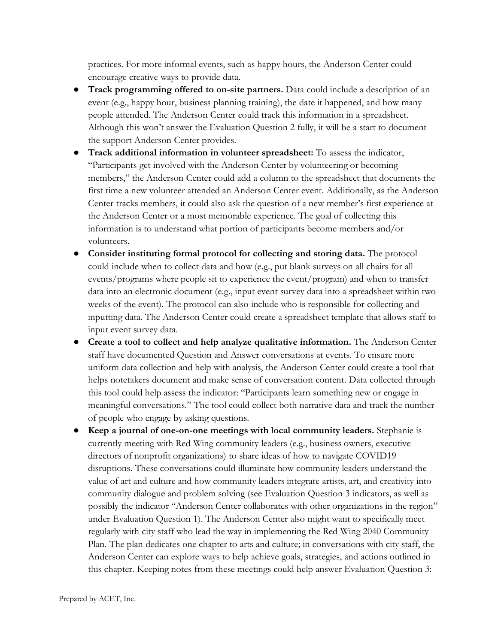practices. For more informal events, such as happy hours, the Anderson Center could encourage creative ways to provide data.

- **Track programming offered to on-site partners.** Data could include a description of an event (e.g., happy hour, business planning training), the date it happened, and how many people attended. The Anderson Center could track this information in a spreadsheet. Although this won't answer the Evaluation Question 2 fully, it will be a start to document the support Anderson Center provides.
- **Track additional information in volunteer spreadsheet:** To assess the indicator, "Participants get involved with the Anderson Center by volunteering or becoming members," the Anderson Center could add a column to the spreadsheet that documents the first time a new volunteer attended an Anderson Center event. Additionally, as the Anderson Center tracks members, it could also ask the question of a new member's first experience at the Anderson Center or a most memorable experience. The goal of collecting this information is to understand what portion of participants become members and/or volunteers.
- **Consider instituting formal protocol for collecting and storing data.** The protocol could include when to collect data and how (e.g., put blank surveys on all chairs for all events/programs where people sit to experience the event/program) and when to transfer data into an electronic document (e.g., input event survey data into a spreadsheet within two weeks of the event). The protocol can also include who is responsible for collecting and inputting data. The Anderson Center could create a spreadsheet template that allows staff to input event survey data.
- **Create a tool to collect and help analyze qualitative information.** The Anderson Center staff have documented Question and Answer conversations at events. To ensure more uniform data collection and help with analysis, the Anderson Center could create a tool that helps notetakers document and make sense of conversation content. Data collected through this tool could help assess the indicator: "Participants learn something new or engage in meaningful conversations." The tool could collect both narrative data and track the number of people who engage by asking questions.
- **Keep a journal of one-on-one meetings with local community leaders.** Stephanie is currently meeting with Red Wing community leaders (e.g., business owners, executive directors of nonprofit organizations) to share ideas of how to navigate COVID19 disruptions. These conversations could illuminate how community leaders understand the value of art and culture and how community leaders integrate artists, art, and creativity into community dialogue and problem solving (see Evaluation Question 3 indicators, as well as possibly the indicator "Anderson Center collaborates with other organizations in the region" under Evaluation Question 1). The Anderson Center also might want to specifically meet regularly with city staff who lead the way in implementing the Red Wing 2040 Community Plan. The plan dedicates one chapter to arts and culture; in conversations with city staff, the Anderson Center can explore ways to help achieve goals, strategies, and actions outlined in this chapter. Keeping notes from these meetings could help answer Evaluation Question 3: